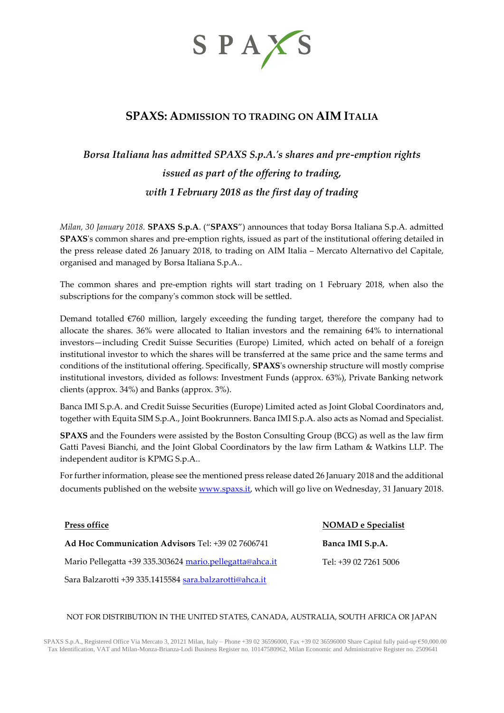

# **SPAXS: ADMISSION TO TRADING ON AIM ITALIA**

# *Borsa Italiana has admitted SPAXS S.p.A.'s shares and pre-emption rights issued as part of the offering to trading, with 1 February 2018 as the first day of trading*

*Milan, 30 January 2018.* **SPAXS S.p.A**. ("**SPAXS**") announces that today Borsa Italiana S.p.A. admitted **SPAXS**'s common shares and pre-emption rights, issued as part of the institutional offering detailed in the press release dated 26 January 2018, to trading on AIM Italia – Mercato Alternativo del Capitale, organised and managed by Borsa Italiana S.p.A..

The common shares and pre-emption rights will start trading on 1 February 2018, when also the subscriptions for the company's common stock will be settled.

Demand totalled €760 million, largely exceeding the funding target, therefore the company had to allocate the shares. 36% were allocated to Italian investors and the remaining 64% to international investors—including Credit Suisse Securities (Europe) Limited, which acted on behalf of a foreign institutional investor to which the shares will be transferred at the same price and the same terms and conditions of the institutional offering. Specifically, **SPAXS**'s ownership structure will mostly comprise institutional investors, divided as follows: Investment Funds (approx. 63%), Private Banking network clients (approx. 34%) and Banks (approx. 3%).

Banca IMI S.p.A. and Credit Suisse Securities (Europe) Limited acted as Joint Global Coordinators and, together with Equita SIM S.p.A., Joint Bookrunners. Banca IMI S.p.A. also acts as Nomad and Specialist.

**SPAXS** and the Founders were assisted by the Boston Consulting Group (BCG) as well as the law firm Gatti Pavesi Bianchi, and the Joint Global Coordinators by the law firm Latham & Watkins LLP. The independent auditor is KPMG S.p.A..

For further information, please see the mentioned press release dated 26 January 2018 and the additional documents published on the website [www.spaxs.it,](http://www.ideamispac.com/) which will go live on Wednesday, 31 January 2018.

| <b>Press office</b>                                      | <b>NOMAD</b> e Specialist |
|----------------------------------------------------------|---------------------------|
| <b>Ad Hoc Communication Advisors Tel: +39 02 7606741</b> | Banca IMI S.p.A.          |
| Mario Pellegatta +39 335.303624 mario.pellegatta@ahca.it | Tel: +39 02 7261 5006     |
| Sara Balzarotti +39 335.1415584 sara.balzarotti@ahca.it  |                           |

## NOT FOR DISTRIBUTION IN THE UNITED STATES, CANADA, AUSTRALIA, SOUTH AFRICA OR JAPAN

SPAXS S.p.A., Registered Office Via Mercato 3, 20121 Milan, Italy – Phone +39 02 36596000, Fax +39 02 36596000 Share Capital fully paid-up €50,000.00 Tax Identification, VAT and Milan-Monza-Brianza-Lodi Business Register no. 10147580962, Milan Economic and Administrative Register no. 2509641